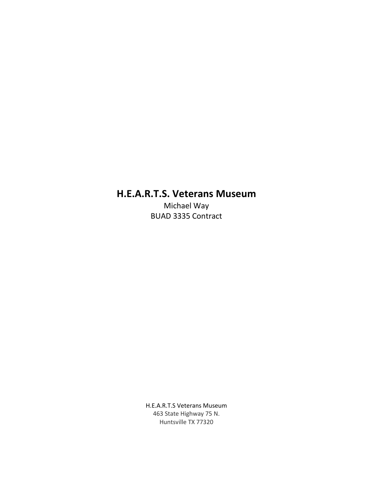# **H.E.A.R.T.S. Veterans Museum**

Michael Way BUAD 3335 Contract

H.E.A.R.T.S Veterans Museum 463 State Highway 75 N. Huntsville TX 77320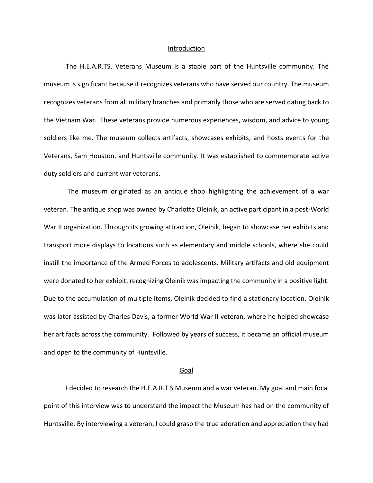#### Introduction

The H.E.A.R.TS. Veterans Museum is a staple part of the Huntsville community. The museum is significant because it recognizes veterans who have served our country. The museum recognizes veterans from all military branches and primarily those who are served dating back to the Vietnam War. These veterans provide numerous experiences, wisdom, and advice to young soldiers like me. The museum collects artifacts, showcases exhibits, and hosts events for the Veterans, Sam Houston, and Huntsville community. It was established to commemorate active duty soldiers and current war veterans.

The museum originated as an antique shop highlighting the achievement of a war veteran. The antique shop was owned by Charlotte Oleinik, an active participant in a post-World War II organization. Through its growing attraction, Oleinik, began to showcase her exhibits and transport more displays to locations such as elementary and middle schools, where she could instill the importance of the Armed Forces to adolescents. Military artifacts and old equipment were donated to her exhibit, recognizing Oleinik was impacting the community in a positive light. Due to the accumulation of multiple items, Oleinik decided to find a stationary location. Oleinik was later assisted by Charles Davis, a former World War II veteran, where he helped showcase her artifacts across the community. Followed by years of success, it became an official museum and open to the community of Huntsville.

## Goal

I decided to research the H.E.A.R.T.S Museum and a war veteran. My goal and main focal point of this interview was to understand the impact the Museum has had on the community of Huntsville. By interviewing a veteran, I could grasp the true adoration and appreciation they had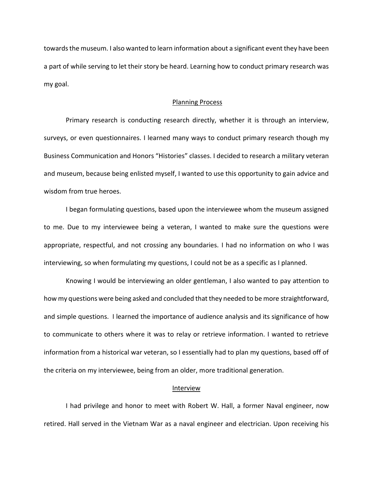towards the museum. I also wanted to learn information about a significant event they have been a part of while serving to let their story be heard. Learning how to conduct primary research was my goal.

#### Planning Process

Primary research is conducting research directly, whether it is through an interview, surveys, or even questionnaires. I learned many ways to conduct primary research though my Business Communication and Honors "Histories" classes. I decided to research a military veteran and museum, because being enlisted myself, I wanted to use this opportunity to gain advice and wisdom from true heroes.

I began formulating questions, based upon the interviewee whom the museum assigned to me. Due to my interviewee being a veteran, I wanted to make sure the questions were appropriate, respectful, and not crossing any boundaries. I had no information on who I was interviewing, so when formulating my questions, I could not be as a specific as I planned.

Knowing I would be interviewing an older gentleman, I also wanted to pay attention to how my questions were being asked and concluded that they needed to be more straightforward, and simple questions. I learned the importance of audience analysis and its significance of how to communicate to others where it was to relay or retrieve information. I wanted to retrieve information from a historical war veteran, so I essentially had to plan my questions, based off of the criteria on my interviewee, being from an older, more traditional generation.

#### Interview

I had privilege and honor to meet with Robert W. Hall, a former Naval engineer, now retired. Hall served in the Vietnam War as a naval engineer and electrician. Upon receiving his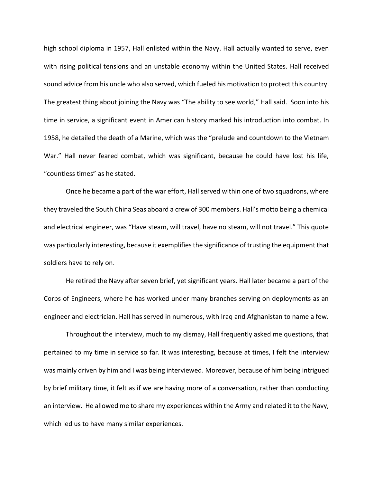high school diploma in 1957, Hall enlisted within the Navy. Hall actually wanted to serve, even with rising political tensions and an unstable economy within the United States. Hall received sound advice from his uncle who also served, which fueled his motivation to protect this country. The greatest thing about joining the Navy was "The ability to see world," Hall said. Soon into his time in service, a significant event in American history marked his introduction into combat. In 1958, he detailed the death of a Marine, which was the "prelude and countdown to the Vietnam War." Hall never feared combat, which was significant, because he could have lost his life, "countless times" as he stated.

Once he became a part of the war effort, Hall served within one of two squadrons, where they traveled the South China Seas aboard a crew of 300 members. Hall's motto being a chemical and electrical engineer, was "Have steam, will travel, have no steam, will not travel." This quote was particularly interesting, because it exemplifies the significance of trusting the equipment that soldiers have to rely on.

He retired the Navy after seven brief, yet significant years. Hall later became a part of the Corps of Engineers, where he has worked under many branches serving on deployments as an engineer and electrician. Hall has served in numerous, with Iraq and Afghanistan to name a few.

Throughout the interview, much to my dismay, Hall frequently asked me questions, that pertained to my time in service so far. It was interesting, because at times, I felt the interview was mainly driven by him and I was being interviewed. Moreover, because of him being intrigued by brief military time, it felt as if we are having more of a conversation, rather than conducting an interview. He allowed me to share my experiences within the Army and related it to the Navy, which led us to have many similar experiences.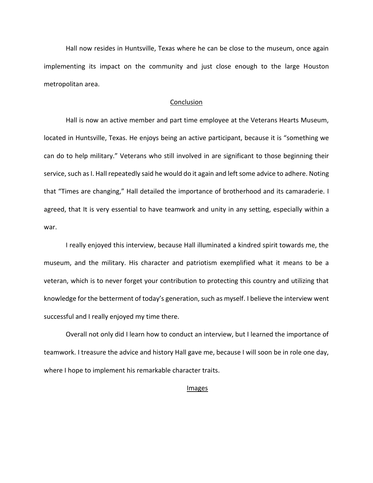Hall now resides in Huntsville, Texas where he can be close to the museum, once again implementing its impact on the community and just close enough to the large Houston metropolitan area.

## **Conclusion**

Hall is now an active member and part time employee at the Veterans Hearts Museum, located in Huntsville, Texas. He enjoys being an active participant, because it is "something we can do to help military." Veterans who still involved in are significant to those beginning their service, such as I. Hall repeatedly said he would do it again and left some advice to adhere. Noting that "Times are changing," Hall detailed the importance of brotherhood and its camaraderie. I agreed, that It is very essential to have teamwork and unity in any setting, especially within a war.

I really enjoyed this interview, because Hall illuminated a kindred spirit towards me, the museum, and the military. His character and patriotism exemplified what it means to be a veteran, which is to never forget your contribution to protecting this country and utilizing that knowledge for the betterment of today's generation, such as myself. I believe the interview went successful and I really enjoyed my time there.

Overall not only did I learn how to conduct an interview, but I learned the importance of teamwork. I treasure the advice and history Hall gave me, because I will soon be in role one day, where I hope to implement his remarkable character traits.

# **Images**